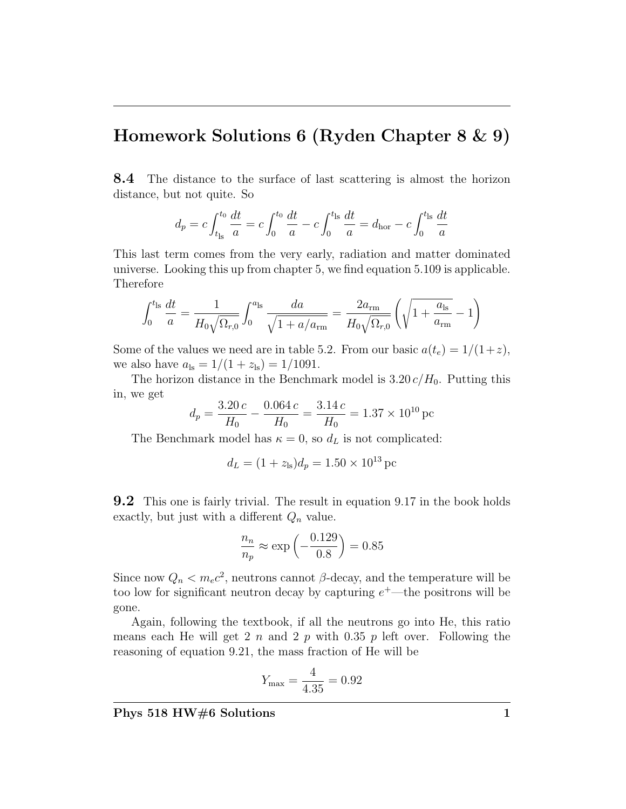## Homework Solutions 6 (Ryden Chapter 8 & 9)

8.4 The distance to the surface of last scattering is almost the horizon distance, but not quite. So

$$
d_p = c \int_{t_{\rm ls}}^{t_0} \frac{dt}{a} = c \int_0^{t_0} \frac{dt}{a} - c \int_0^{t_{\rm ls}} \frac{dt}{a} = d_{\rm hor} - c \int_0^{t_{\rm ls}} \frac{dt}{a}
$$

This last term comes from the very early, radiation and matter dominated universe. Looking this up from chapter 5, we find equation 5.109 is applicable. Therefore

$$
\int_0^{t_{\rm ls}} \frac{dt}{a} = \frac{1}{H_0 \sqrt{\Omega_{r,0}}} \int_0^{a_{\rm ls}} \frac{da}{\sqrt{1 + a/a_{\rm rm}}} = \frac{2a_{\rm rm}}{H_0 \sqrt{\Omega_{r,0}}} \left( \sqrt{1 + \frac{a_{\rm ls}}{a_{\rm rm}}} - 1 \right)
$$

Some of the values we need are in table 5.2. From our basic  $a(t_e) = 1/(1+z)$ , we also have  $a_{ls} = 1/(1 + z_{ls}) = 1/1091$ .

The horizon distance in the Benchmark model is  $3.20 c/H_0$ . Putting this in, we get

$$
d_p = \frac{3.20 \, c}{H_0} - \frac{0.064 \, c}{H_0} = \frac{3.14 \, c}{H_0} = 1.37 \times 10^{10} \, \text{pc}
$$

The Benchmark model has  $\kappa = 0$ , so  $d_L$  is not complicated:

$$
d_L = (1 + z_{\rm ls})d_p = 1.50 \times 10^{13} \,\text{pc}
$$

**9.2** This one is fairly trivial. The result in equation 9.17 in the book holds exactly, but just with a different  $Q_n$  value.

$$
\frac{n_n}{n_p} \approx \exp\left(-\frac{0.129}{0.8}\right) = 0.85
$$

Since now  $Q_n < m_e c^2$ , neutrons cannot  $\beta$ -decay, and the temperature will be too low for significant neutron decay by capturing  $e^+$ —the positrons will be gone.

Again, following the textbook, if all the neutrons go into He, this ratio means each He will get 2 n and 2 p with 0.35 p left over. Following the reasoning of equation 9.21, the mass fraction of He will be

$$
Y_{\text{max}} = \frac{4}{4.35} = 0.92
$$

Phys 518 HW#6 Solutions 1